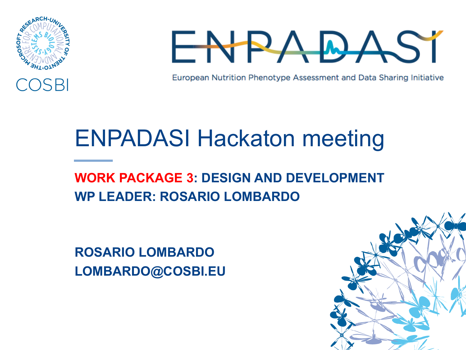



European Nutrition Phenotype Assessment and Data Sharing Initiative

## ENPADASI Hackaton meeting

## **WORK PACKAGE 3: DESIGN AND DEVELOPMENT WP LEADER: ROSARIO LOMBARDO**

**ROSARIO LOMBARDO LOMBARDO@COSBI.EU**

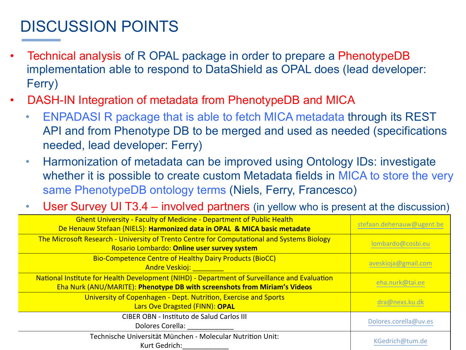## DISCUSSION POINTS

- Technical analysis of R OPAL package in order to prepare a PhenotypeDB implementation able to respond to DataShield as OPAL does (lead developer: Ferry)
- DASH-IN Integration of metadata from PhenotypeDB and MICA
	- ENPADASI R package that is able to fetch MICA metadata through its REST API and from Phenotype DB to be merged and used as needed (specifications needed, lead developer: Ferry)
	- Harmonization of metadata can be improved using Ontology IDs: investigate whether it is possible to create custom Metadata fields in MICA to store the very same PhenotypeDB ontology terms (Niels, Ferry, Francesco)
	- User Survey UI T3.4 involved partners (in yellow who is present at the discussion)

| <b>Ghent University - Faculty of Medicine - Department of Public Health</b><br>De Henauw Stefaan (NIELS): Harmonized data in OPAL & MICA basic metadate                   | stefaan.dehenauw@ugent.be |
|---------------------------------------------------------------------------------------------------------------------------------------------------------------------------|---------------------------|
| The Microsoft Research - University of Trento Centre for Computational and Systems Biology<br>Rosario Lombardo: Online user survey system                                 | lombardo@cosbi.eu         |
| Bio-Competence Centre of Healthy Dairy Products (BioCC)<br><b>Andre Veskioj:</b> Andre Veskioj:                                                                           | aveskioja@gmail.com       |
| National Institute for Health Development (NIHD) - Department of Surveillance and Evaluation<br>Eha Nurk (ANU/MARITE): Phenotype DB with screenshots from Miriam's Videos | eha.nurk@tai.ee           |
| University of Copenhagen - Dept. Nutrition, Exercise and Sports<br>Lars Ove Dragsted (FINN): OPAL                                                                         | dra@nexs.ku.dk            |
| CIBER OBN - Instituto de Salud Carlos III<br>Dolores Corella:                                                                                                             | Dolores.corella@uv.es     |
| Technische Universität München - Molecular Nutrition Unit:<br>Kurt Gedrich:                                                                                               | KGedrich@tum.de           |